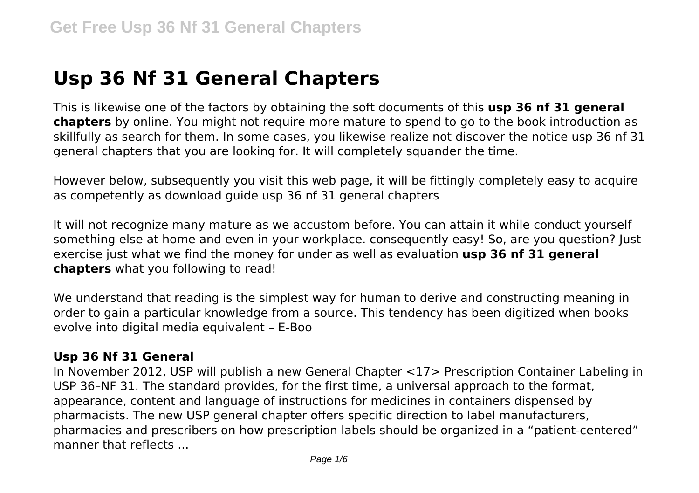# **Usp 36 Nf 31 General Chapters**

This is likewise one of the factors by obtaining the soft documents of this **usp 36 nf 31 general chapters** by online. You might not require more mature to spend to go to the book introduction as skillfully as search for them. In some cases, you likewise realize not discover the notice usp 36 nf 31 general chapters that you are looking for. It will completely squander the time.

However below, subsequently you visit this web page, it will be fittingly completely easy to acquire as competently as download guide usp 36 nf 31 general chapters

It will not recognize many mature as we accustom before. You can attain it while conduct yourself something else at home and even in your workplace. consequently easy! So, are you question? Just exercise just what we find the money for under as well as evaluation **usp 36 nf 31 general chapters** what you following to read!

We understand that reading is the simplest way for human to derive and constructing meaning in order to gain a particular knowledge from a source. This tendency has been digitized when books evolve into digital media equivalent – E-Boo

## **Usp 36 Nf 31 General**

In November 2012, USP will publish a new General Chapter <17> Prescription Container Labeling in USP 36–NF 31. The standard provides, for the first time, a universal approach to the format, appearance, content and language of instructions for medicines in containers dispensed by pharmacists. The new USP general chapter offers specific direction to label manufacturers, pharmacies and prescribers on how prescription labels should be organized in a "patient-centered" manner that reflects ...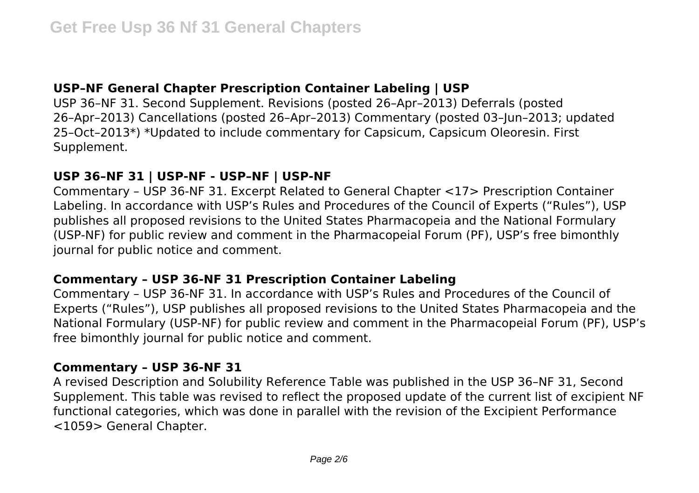## **USP–NF General Chapter Prescription Container Labeling | USP**

USP 36–NF 31. Second Supplement. Revisions (posted 26–Apr–2013) Deferrals (posted 26–Apr–2013) Cancellations (posted 26–Apr–2013) Commentary (posted 03–Jun–2013; updated 25–Oct–2013\*) \*Updated to include commentary for Capsicum, Capsicum Oleoresin. First Supplement.

## **USP 36–NF 31 | USP-NF - USP–NF | USP-NF**

Commentary – USP 36-NF 31. Excerpt Related to General Chapter <17> Prescription Container Labeling. In accordance with USP's Rules and Procedures of the Council of Experts ("Rules"), USP publishes all proposed revisions to the United States Pharmacopeia and the National Formulary (USP-NF) for public review and comment in the Pharmacopeial Forum (PF), USP's free bimonthly journal for public notice and comment.

#### **Commentary – USP 36-NF 31 Prescription Container Labeling**

Commentary – USP 36-NF 31. In accordance with USP's Rules and Procedures of the Council of Experts ("Rules"), USP publishes all proposed revisions to the United States Pharmacopeia and the National Formulary (USP-NF) for public review and comment in the Pharmacopeial Forum (PF), USP's free bimonthly journal for public notice and comment.

#### **Commentary – USP 36-NF 31**

A revised Description and Solubility Reference Table was published in the USP 36–NF 31, Second Supplement. This table was revised to reflect the proposed update of the current list of excipient NF functional categories, which was done in parallel with the revision of the Excipient Performance <1059> General Chapter.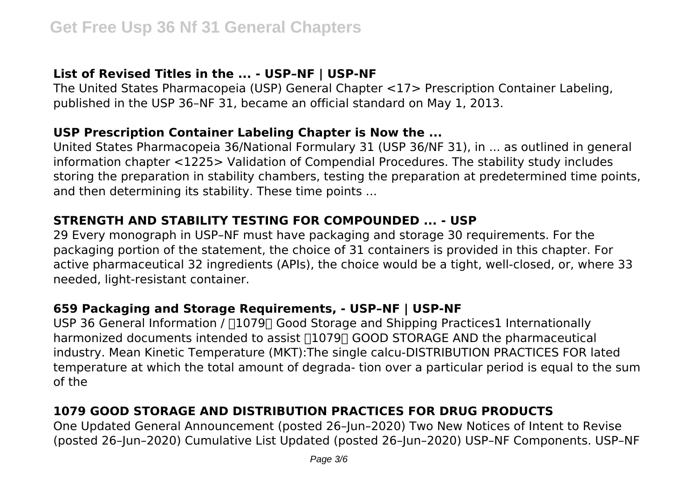# **List of Revised Titles in the ... - USP–NF | USP-NF**

The United States Pharmacopeia (USP) General Chapter <17> Prescription Container Labeling, published in the USP 36–NF 31, became an official standard on May 1, 2013.

#### **USP Prescription Container Labeling Chapter is Now the ...**

United States Pharmacopeia 36/National Formulary 31 (USP 36/NF 31), in ... as outlined in general information chapter <1225> Validation of Compendial Procedures. The stability study includes storing the preparation in stability chambers, testing the preparation at predetermined time points, and then determining its stability. These time points ...

## **STRENGTH AND STABILITY TESTING FOR COMPOUNDED ... - USP**

29 Every monograph in USP–NF must have packaging and storage 30 requirements. For the packaging portion of the statement, the choice of 31 containers is provided in this chapter. For active pharmaceutical 32 ingredients (APIs), the choice would be a tight, well-closed, or, where 33 needed, light-resistant container.

## **659 Packaging and Storage Requirements, - USP–NF | USP-NF**

USP 36 General Information /  $\Box$ 1079 $\Box$  Good Storage and Shipping Practices1 Internationally harmonized documents intended to assist  $\Box$ 1079 $\Box$  GOOD STORAGE AND the pharmaceutical industry. Mean Kinetic Temperature (MKT):The single calcu-DISTRIBUTION PRACTICES FOR lated temperature at which the total amount of degrada- tion over a particular period is equal to the sum of the

# **1079 GOOD STORAGE AND DISTRIBUTION PRACTICES FOR DRUG PRODUCTS**

One Updated General Announcement (posted 26–Jun–2020) Two New Notices of Intent to Revise (posted 26–Jun–2020) Cumulative List Updated (posted 26–Jun–2020) USP–NF Components. USP–NF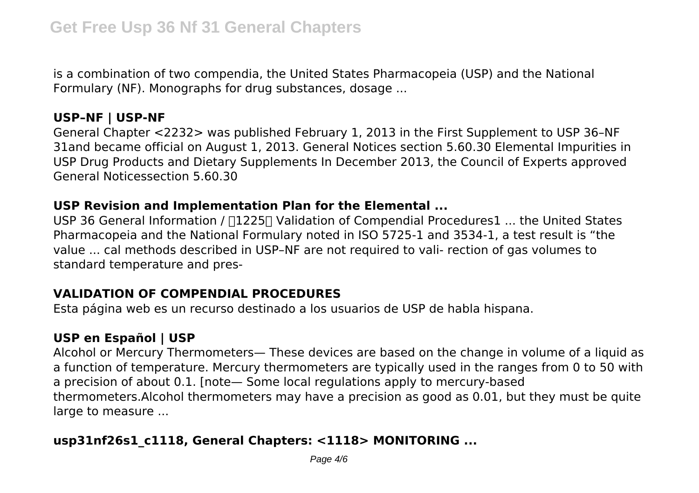is a combination of two compendia, the United States Pharmacopeia (USP) and the National Formulary (NF). Monographs for drug substances, dosage ...

#### **USP–NF | USP-NF**

General Chapter <2232> was published February 1, 2013 in the First Supplement to USP 36–NF 31and became official on August 1, 2013. General Notices section 5.60.30 Elemental Impurities in USP Drug Products and Dietary Supplements In December 2013, the Council of Experts approved General Noticessection 5.60.30

### **USP Revision and Implementation Plan for the Elemental ...**

USP 36 General Information /  $\Box$ 1225 $\Box$  Validation of Compendial Procedures1 ... the United States Pharmacopeia and the National Formulary noted in ISO 5725-1 and 3534-1, a test result is "the value ... cal methods described in USP–NF are not required to vali- rection of gas volumes to standard temperature and pres-

# **VALIDATION OF COMPENDIAL PROCEDURES**

Esta página web es un recurso destinado a los usuarios de USP de habla hispana.

# **USP en Español | USP**

Alcohol or Mercury Thermometers— These devices are based on the change in volume of a liquid as a function of temperature. Mercury thermometers are typically used in the ranges from 0 to 50 with a precision of about 0.1. [note— Some local regulations apply to mercury-based thermometers.Alcohol thermometers may have a precision as good as 0.01, but they must be quite large to measure ...

# **usp31nf26s1\_c1118, General Chapters: <1118> MONITORING ...**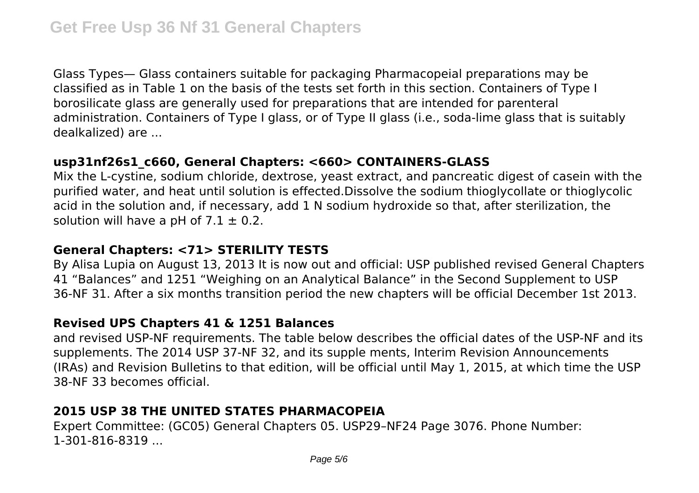Glass Types— Glass containers suitable for packaging Pharmacopeial preparations may be classified as in Table 1 on the basis of the tests set forth in this section. Containers of Type I borosilicate glass are generally used for preparations that are intended for parenteral administration. Containers of Type I glass, or of Type II glass (i.e., soda-lime glass that is suitably dealkalized) are ...

## **usp31nf26s1\_c660, General Chapters: <660> CONTAINERS-GLASS**

Mix the L-cystine, sodium chloride, dextrose, yeast extract, and pancreatic digest of casein with the purified water, and heat until solution is effected.Dissolve the sodium thioglycollate or thioglycolic acid in the solution and, if necessary, add 1 N sodium hydroxide so that, after sterilization, the solution will have a pH of  $7.1 \pm 0.2$ .

# **General Chapters: <71> STERILITY TESTS**

By Alisa Lupia on August 13, 2013 It is now out and official: USP published revised General Chapters 41 "Balances" and 1251 "Weighing on an Analytical Balance" in the Second Supplement to USP 36-NF 31. After a six months transition period the new chapters will be official December 1st 2013.

# **Revised UPS Chapters 41 & 1251 Balances**

and revised USP-NF requirements. The table below describes the official dates of the USP-NF and its supplements. The 2014 USP 37-NF 32, and its supple ments, Interim Revision Announcements (IRAs) and Revision Bulletins to that edition, will be official until May 1, 2015, at which time the USP 38-NF 33 becomes official.

# **2015 USP 38 THE UNITED STATES PHARMACOPEIA**

Expert Committee: (GC05) General Chapters 05. USP29–NF24 Page 3076. Phone Number: 1-301-816-8319